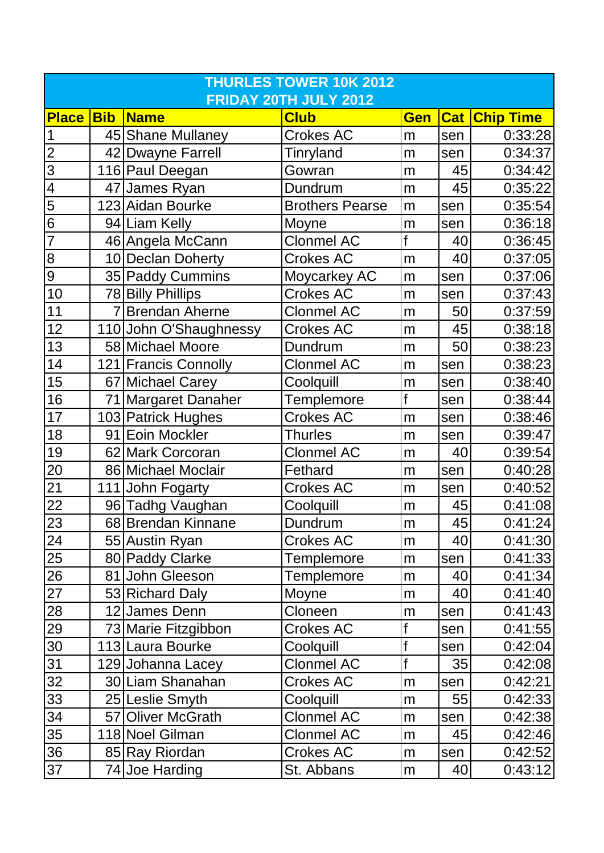| <b>THURLES TOWER 10K 2012</b>             |            |                        |                        |            |                 |                      |  |
|-------------------------------------------|------------|------------------------|------------------------|------------|-----------------|----------------------|--|
| FRIDAY 20TH JULY 2012                     |            |                        |                        |            |                 |                      |  |
| <b>Place</b>                              | <b>Bib</b> | <b>Name</b>            | <b>Club</b>            | <b>Gen</b> |                 | <b>Cat Chip Time</b> |  |
| $\overline{1}$                            |            | 45 Shane Mullaney      | <b>Crokes AC</b>       | m          | sen             | 0:33:28              |  |
| $\overline{2}$                            |            | 42 Dwayne Farrell      | Tinryland              | m          | sen             | 0:34:37              |  |
|                                           |            | 116 Paul Deegan        | Gowran                 | m          | 45              | 0:34:42              |  |
|                                           |            | 47 James Ryan          | Dundrum                | m          | 45              | 0:35:22              |  |
| $\frac{1}{2}$ $\frac{1}{2}$ $\frac{1}{2}$ |            | 123 Aidan Bourke       | <b>Brothers Pearse</b> | m          | sen             | 0:35:54              |  |
|                                           |            | 94 Liam Kelly          | Moyne                  | m          | sen             | 0:36:18              |  |
| $\overline{7}$                            |            | 46 Angela McCann       | <b>Clonmel AC</b>      | f          | 40              | 0:36:45              |  |
| ထ တ                                       |            | 10 Declan Doherty      | <b>Crokes AC</b>       | m          | 40              | 0:37:05              |  |
|                                           |            | 35 Paddy Cummins       | Moycarkey AC           | m          | sen             | 0:37:06              |  |
| 10                                        |            | 78 Billy Phillips      | <b>Crokes AC</b>       | m          | sen             | 0:37:43              |  |
| 11                                        |            | 7 Brendan Aherne       | <b>Clonmel AC</b>      | m          | 50              | 0:37:59              |  |
| 12                                        |            | 110 John O'Shaughnessy | <b>Crokes AC</b>       | m          | 45              | 0:38:18              |  |
| 13                                        |            | 58 Michael Moore       | Dundrum                | m          | 50              | 0:38:23              |  |
| 14                                        |            | 121 Francis Connolly   | <b>Clonmel AC</b>      | m          | sen             | 0:38:23              |  |
| 15                                        |            | 67 Michael Carey       | Coolquill              | m          | sen             | 0:38:40              |  |
| 16                                        |            | 71 Margaret Danaher    | Templemore             | f          | sen             | 0:38:44              |  |
| 17                                        |            | 103 Patrick Hughes     | <b>Crokes AC</b>       | m          | sen             | 0:38:46              |  |
| 18                                        |            | 91 Eoin Mockler        | <b>Thurles</b>         | m          | sen             | 0:39:47              |  |
| 19                                        |            | 62 Mark Corcoran       | <b>Clonmel AC</b>      | m          | 40              | 0:39:54              |  |
| $\overline{20}$                           |            | 86 Michael Moclair     | Fethard                | m          | sen             | 0:40:28              |  |
| $\overline{21}$                           |            | 111 John Fogarty       | <b>Crokes AC</b>       | m          | sen             | 0:40:52              |  |
| 22                                        |            | 96 Tadhg Vaughan       | Coolquill              | m          | 45              | 0:41:08              |  |
| 23                                        |            | 68 Brendan Kinnane     | Dundrum                | m          | 45              | 0:41:24              |  |
| 24                                        |            | 55 Austin Ryan         | <b>Crokes AC</b>       | m          | 40 <sub>l</sub> | 0:41:30              |  |
| 25                                        |            | 80 Paddy Clarke        | Templemore             | m          | sen             | 0:41:33              |  |
| $\overline{26}$                           |            | 81 John Gleeson        | <b>Templemore</b>      | m          | 40              | 0:41:34              |  |
| 27                                        |            | 53 Richard Daly        | Moyne                  | m          | 40              | 0:41:40              |  |
| $\overline{28}$                           |            | 12 James Denn          | Cloneen                | m          | sen             | 0:41:43              |  |
| 29                                        |            | 73 Marie Fitzgibbon    | <b>Crokes AC</b>       | f          | sen             | 0:41:55              |  |
| 30                                        |            | 113 Laura Bourke       | Coolquill              | f          | sen             | 0:42:04              |  |
| 31                                        |            | 129 Johanna Lacey      | <b>Clonmel AC</b>      | f          | 35              | 0:42:08              |  |
| 32                                        |            | 30 Liam Shanahan       | <b>Crokes AC</b>       | m          | sen             | 0:42:21              |  |
| $\overline{33}$                           |            | 25 Leslie Smyth        | Coolquill              | m          | 55              | 0:42:33              |  |
| 34                                        |            | 57 Oliver McGrath      | <b>Clonmel AC</b>      | m          | sen             | 0:42:38              |  |
| 35                                        |            | 118 Noel Gilman        | <b>Clonmel AC</b>      | m          | 45              | 0:42:46              |  |
| 36                                        |            | 85 Ray Riordan         | <b>Crokes AC</b>       | m          | sen             | 0:42:52              |  |
| 37                                        |            | 74 Joe Harding         | St. Abbans             | m          | 40 <sub>l</sub> | 0:43:12              |  |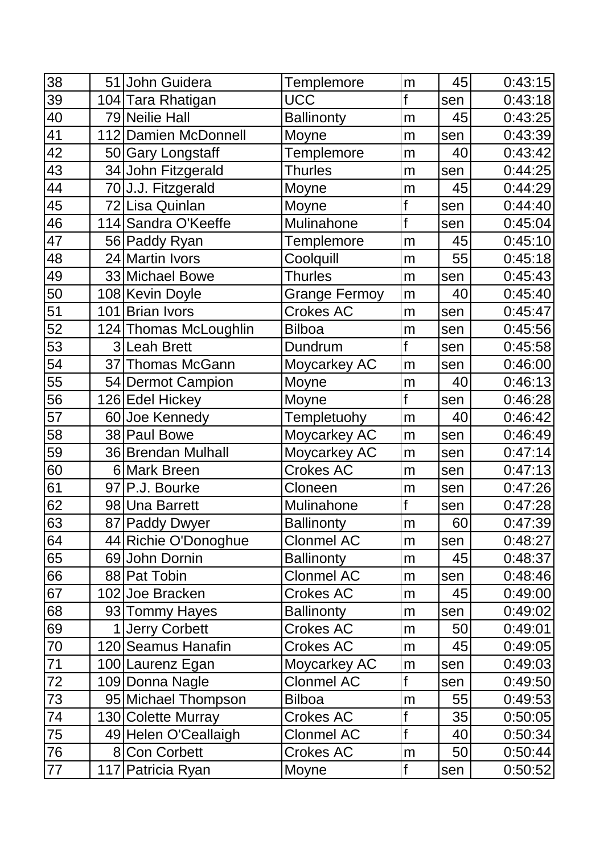| 38              | 51 John Guidera       | <b>Templemore</b>    | m | 45  | 0:43:15 |
|-----------------|-----------------------|----------------------|---|-----|---------|
| 39              | 104 Tara Rhatigan     | <b>UCC</b>           | f | sen | 0:43:18 |
| 40              | 79 Neilie Hall        | <b>Ballinonty</b>    | m | 45  | 0:43:25 |
| 41              | 112 Damien McDonnell  | Moyne                | m | sen | 0:43:39 |
| 42              | 50 Gary Longstaff     | <b>Templemore</b>    | m | 40  | 0:43:42 |
| 43              | 34 John Fitzgerald    | <b>Thurles</b>       | m | sen | 0:44:25 |
| 44              | 70 J.J. Fitzgerald    | Moyne                | m | 45  | 0:44:29 |
| 45              | 72 Lisa Quinlan       | Moyne                |   | sen | 0:44:40 |
| 46              | 114 Sandra O'Keeffe   | Mulinahone           | f | sen | 0:45:04 |
| 47              | 56 Paddy Ryan         | <b>Templemore</b>    | m | 45  | 0:45:10 |
| 48              | 24 Martin Ivors       | Coolquill            | m | 55  | 0:45:18 |
| 49              | 33 Michael Bowe       | <b>Thurles</b>       | m | sen | 0:45:43 |
| 50              | 108 Kevin Doyle       | <b>Grange Fermoy</b> | m | 40  | 0:45:40 |
| 51              | 101 Brian Ivors       | <b>Crokes AC</b>     | m | sen | 0:45:47 |
| 52              | 124 Thomas McLoughlin | <b>Bilboa</b>        | m | sen | 0:45:56 |
| 53              | 3 Leah Brett          | Dundrum              |   | sen | 0:45:58 |
| 54              | 37 Thomas McGann      | Moycarkey AC         | m | sen | 0:46:00 |
| 55              | 54 Dermot Campion     | Moyne                | m | 40  | 0:46:13 |
| 56              | 126 Edel Hickey       | Moyne                | f | sen | 0:46:28 |
| 57              | 60 Joe Kennedy        | Templetuohy          | m | 40  | 0:46:42 |
| 58              | 38 Paul Bowe          | Moycarkey AC         | m | sen | 0:46:49 |
| 59              | 36 Brendan Mulhall    | Moycarkey AC         | m | sen | 0:47:14 |
| 60              | 6 Mark Breen          | <b>Crokes AC</b>     | m | sen | 0:47:13 |
| $\overline{61}$ | 97 P.J. Bourke        | Cloneen              | m | sen | 0:47:26 |
| 62              | 98 Una Barrett        | Mulinahone           | f | sen | 0:47:28 |
| 63              | 87 Paddy Dwyer        | <b>Ballinonty</b>    | m | 60  | 0:47:39 |
| 64              | 44 Richie O'Donoghue  | <b>Clonmel AC</b>    | m | sen | 0:48:27 |
| 65              | 69 John Dornin        | <b>Ballinonty</b>    | m | 45  | 0:48:37 |
| 66              | 88 Pat Tobin          | <b>Clonmel AC</b>    | m | sen | 0:48:46 |
| 67              | 102 Joe Bracken       | <b>Crokes AC</b>     | m | 45  | 0:49:00 |
| 68              | 93 Tommy Hayes        | <b>Ballinonty</b>    | m | sen | 0:49:02 |
| 69              | 1 Jerry Corbett       | <b>Crokes AC</b>     | m | 50  | 0:49:01 |
| 70              | 120 Seamus Hanafin    | Crokes AC            | m | 45  | 0:49:05 |
| 71              | 100 Laurenz Egan      | Moycarkey AC         | m | sen | 0:49:03 |
| $72\,$          | 109 Donna Nagle       | <b>Clonmel AC</b>    | f | sen | 0:49:50 |
| 73              | 95 Michael Thompson   | <b>Bilboa</b>        | m | 55  | 0:49:53 |
| 74              | 130 Colette Murray    | Crokes AC            |   | 35  | 0:50:05 |
| 75              | 49 Helen O'Ceallaigh  | <b>Clonmel AC</b>    | f | 40  | 0:50:34 |
| 76              | 8 Con Corbett         | <b>Crokes AC</b>     | m | 50  | 0:50:44 |
| 77              | 117 Patricia Ryan     | Moyne                | f | sen | 0:50:52 |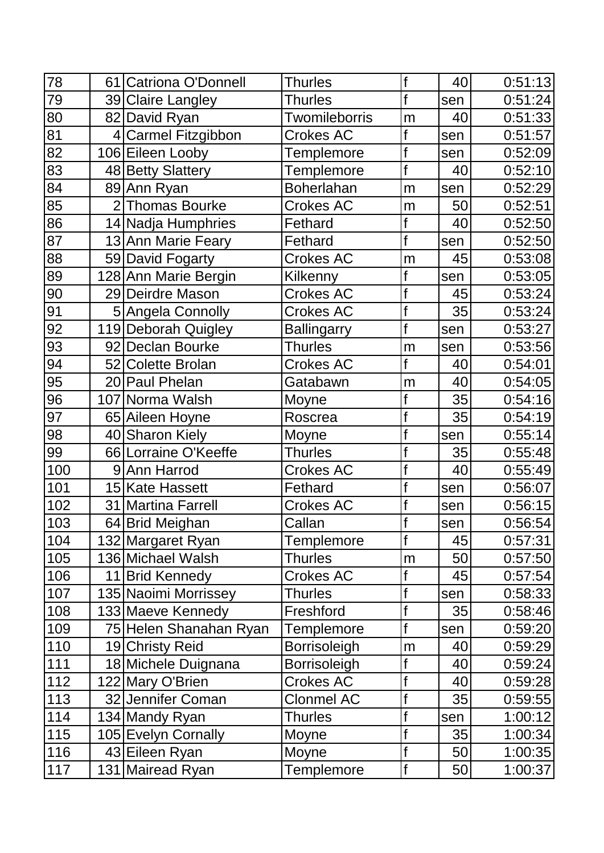| 78  |    | 61 Catriona O'Donnell  | <b>Thurles</b>      | f           | 40  | 0:51:13 |
|-----|----|------------------------|---------------------|-------------|-----|---------|
| 79  |    | 39 Claire Langley      | <b>Thurles</b>      | f           | sen | 0:51:24 |
| 80  |    | 82 David Ryan          | Twomileborris       | m           | 40  | 0:51:33 |
| 81  |    | 4 Carmel Fitzgibbon    | Crokes AC           | f           | sen | 0:51:57 |
| 82  |    | 106 Eileen Looby       | Templemore          | f           | sen | 0:52:09 |
| 83  |    | 48 Betty Slattery      | Templemore          | f           | 40  | 0:52:10 |
| 84  |    | 89 Ann Ryan            | <b>Boherlahan</b>   | m           | sen | 0:52:29 |
| 85  |    | 2 Thomas Bourke        | <b>Crokes AC</b>    | m           | 50  | 0:52:51 |
| 86  |    | 14 Nadja Humphries     | Fethard             |             | 40  | 0:52:50 |
| 87  |    | 13 Ann Marie Feary     | Fethard             | f           | sen | 0:52:50 |
| 88  |    | 59 David Fogarty       | <b>Crokes AC</b>    | m           | 45  | 0:53:08 |
| 89  |    | 128 Ann Marie Bergin   | Kilkenny            |             | sen | 0:53:05 |
| 90  |    | 29 Deirdre Mason       | <b>Crokes AC</b>    |             | 45  | 0:53:24 |
| 91  |    | 5 Angela Connolly      | <b>Crokes AC</b>    | f           | 35  | 0:53:24 |
| 92  |    | 119 Deborah Quigley    | <b>Ballingarry</b>  | $\mathbf f$ | sen | 0:53:27 |
| 93  |    | 92 Declan Bourke       | <b>Thurles</b>      | m           | sen | 0:53:56 |
| 94  |    | 52 Colette Brolan      | <b>Crokes AC</b>    | f           | 40  | 0:54:01 |
| 95  |    | 20 Paul Phelan         | Gatabawn            | m           | 40  | 0:54:05 |
| 96  |    | 107 Norma Walsh        | Moyne               | f           | 35  | 0:54:16 |
| 97  |    | 65 Aileen Hoyne        | Roscrea             | f           | 35  | 0:54:19 |
| 98  |    | 40 Sharon Kiely        | Moyne               |             | sen | 0:55:14 |
| 99  |    | 66 Lorraine O'Keeffe   | <b>Thurles</b>      |             | 35  | 0:55:48 |
| 100 |    | 9 Ann Harrod           | Crokes AC           |             | 40  | 0:55:49 |
| 101 |    | 15 Kate Hassett        | Fethard             |             | sen | 0:56:07 |
| 102 | 31 | Martina Farrell        | <b>Crokes AC</b>    | f           | sen | 0:56:15 |
| 103 |    | 64 Brid Meighan        | Callan              |             | sen | 0:56:54 |
| 104 |    | 132 Margaret Ryan      | <b>Templemore</b>   | f           | 45  | 0:57:31 |
| 105 |    | 136 Michael Walsh      | <b>Thurles</b>      | m           | 50  | 0:57:50 |
| 106 |    | 11 Brid Kennedy        | <b>Crokes AC</b>    | f           | 45  | 0:57:54 |
| 107 |    | 135 Naoimi Morrissey   | <b>Thurles</b>      | f           | sen | 0:58:33 |
| 108 |    | 133 Maeve Kennedy      | Freshford           |             | 35  | 0:58:46 |
| 109 |    | 75 Helen Shanahan Ryan | <b>Templemore</b>   | f           | sen | 0:59:20 |
| 110 |    | 19 Christy Reid        | <b>Borrisoleigh</b> | m           | 40  | 0:59:29 |
| 111 |    | 18 Michele Duignana    | <b>Borrisoleigh</b> |             | 40  | 0:59:24 |
| 112 |    | 122 Mary O'Brien       | <b>Crokes AC</b>    | f           | 40  | 0:59:28 |
| 113 |    | 32 Jennifer Coman      | <b>Clonmel AC</b>   | $\mathsf f$ | 35  | 0:59:55 |
| 114 |    | 134 Mandy Ryan         | <b>Thurles</b>      | f           | sen | 1:00:12 |
| 115 |    | 105 Evelyn Cornally    | Moyne               | f           | 35  | 1:00:34 |
| 116 |    | 43 Eileen Ryan         | Moyne               | f           | 50  | 1:00:35 |
| 117 |    | 131 Mairead Ryan       | <b>Templemore</b>   | f           | 50  | 1:00:37 |